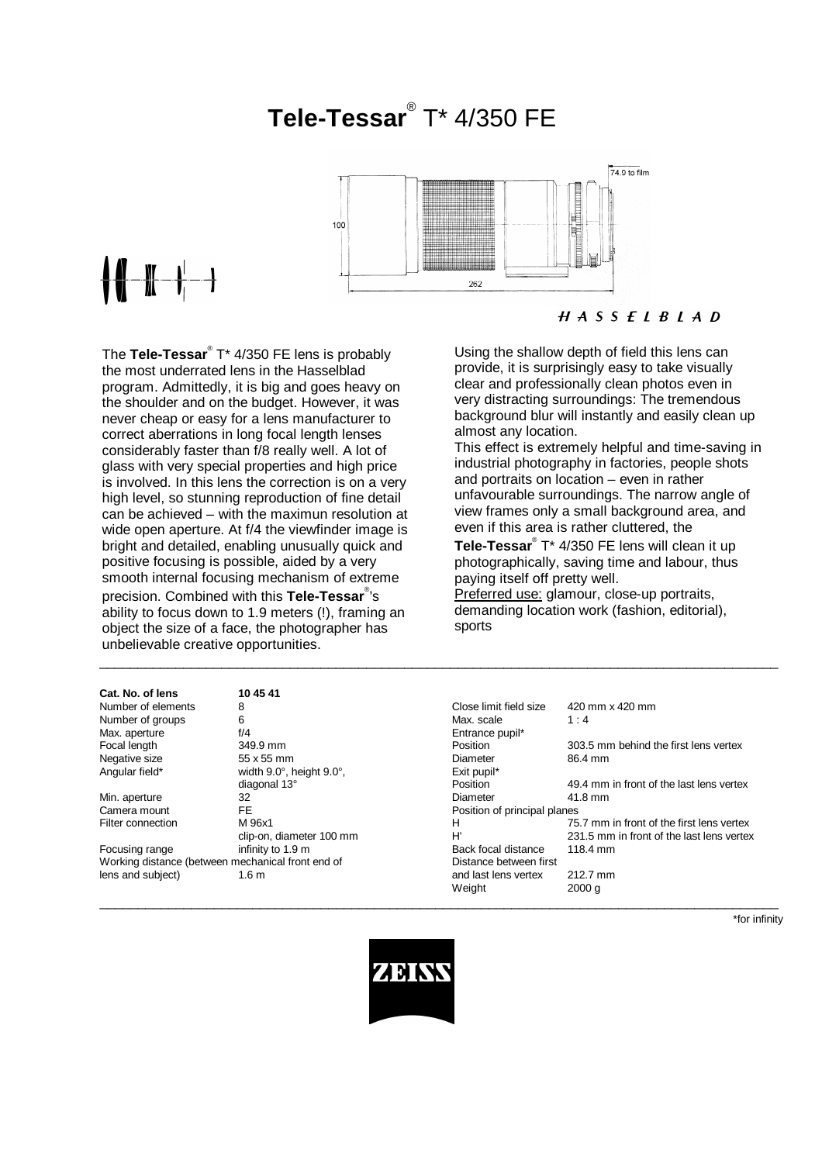## **Tele-Tessar**® T\* 4/350 FE



# ╉╉╌╫╌╂╌╌╂

**Cat. No. of lens 10 45**<br>Number of elements **8** 

The Tele-Tessar<sup>®</sup> T\* 4/350 FE lens is probably the most underrated lens in the Hasselblad program. Admittedly, it is big and goes heavy on the shoulder and on the budget. However, it was never cheap or easy for a lens manufacturer to correct aberrations in long focal length lenses considerably faster than f/8 really well. A lot of glass with very special properties and high price is involved. In this lens the correction is on a very high level, so stunning reproduction of fine detail can be achieved – with the maximun resolution at wide open aperture. At f/4 the viewfinder image is bright and detailed, enabling unusually quick and positive focusing is possible, aided by a very smooth internal focusing mechanism of extreme precision. Combined with this **Tele-Tessar**® 's ability to focus down to 1.9 meters (!), framing an object the size of a face, the photographer has unbelievable creative opportunities.

Using the shallow depth of field this lens can provide, it is surprisingly easy to take visually clear and professionally clean photos even in very distracting surroundings: The tremendous background blur will instantly and easily clean up almost any location.

This effect is extremely helpful and time-saving in industrial photography in factories, people shots and portraits on location – even in rather unfavourable surroundings. The narrow angle of view frames only a small background area, and even if this area is rather cluttered, the

**Tele-Tessar**® T\* 4/350 FE lens will clean it up photographically, saving time and labour, thus paying itself off pretty well.

Preferred use: glamour, close-up portraits, demanding location work (fashion, editorial), sports

| Cat. No. of lens                                  | 10 45 41                 |                              |                                           |
|---------------------------------------------------|--------------------------|------------------------------|-------------------------------------------|
| Number of elements                                | 8                        | Close limit field size       | 420 mm x 420 mm                           |
| Number of groups                                  | 6                        | Max. scale                   | 1:4                                       |
| Max. aperture                                     | f/4                      | Entrance pupil*              |                                           |
| Focal length                                      | 349.9 mm                 | Position                     | 303.5 mm behind the first lens vertex     |
| Negative size                                     | 55 x 55 mm               | Diameter                     | 86.4 mm                                   |
| Angular field*                                    | width 9.0°, height 9.0°, | Exit pupil*                  |                                           |
|                                                   | diagonal 13°             | Position                     | 49.4 mm in front of the last lens vertex  |
| Min. aperture                                     | 32                       | Diameter                     | 41.8 mm                                   |
| Camera mount                                      | FE.                      | Position of principal planes |                                           |
| Filter connection                                 | M 96x1                   | н                            | 75.7 mm in front of the first lens vertex |
|                                                   | clip-on, diameter 100 mm | H'                           | 231.5 mm in front of the last lens vertex |
| Focusing range                                    | infinity to 1.9 m        | Back focal distance          | 118.4 mm                                  |
| Working distance (between mechanical front end of |                          | Distance between first       |                                           |
| lens and subject)                                 | 1.6 <sub>m</sub>         | and last lens vertex         | 212.7 mm                                  |
|                                                   |                          | Weight                       | 2000 g                                    |
|                                                   |                          |                              |                                           |

\*for infinity



\_\_\_\_\_\_\_\_\_\_\_\_\_\_\_\_\_\_\_\_\_\_\_\_\_\_\_\_\_\_\_\_\_\_\_\_\_\_\_\_\_\_\_\_\_\_\_\_\_\_\_\_\_\_\_\_\_\_\_\_\_\_\_\_\_\_\_\_\_\_\_\_\_\_\_\_\_\_\_\_\_\_\_\_\_\_\_\_\_